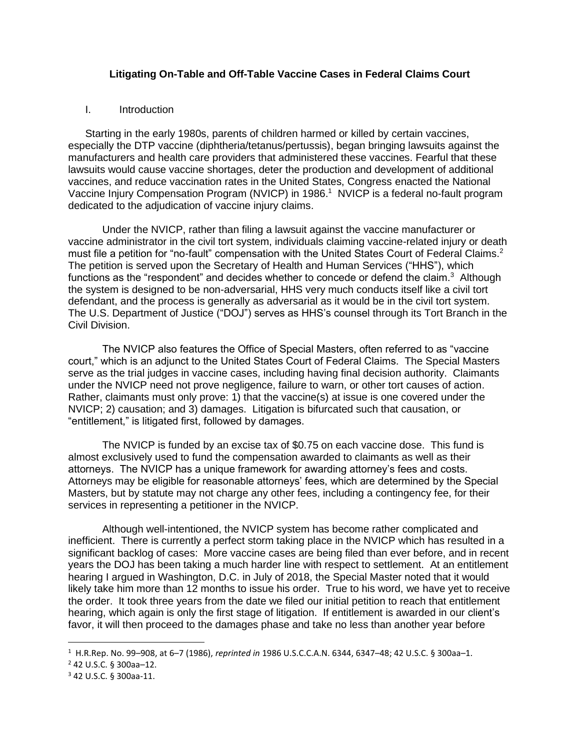## **Litigating On-Table and Off-Table Vaccine Cases in Federal Claims Court**

## I. Introduction

Starting in the early 1980s, parents of children harmed or killed by certain vaccines, especially the DTP vaccine (diphtheria/tetanus/pertussis), began bringing lawsuits against the manufacturers and health care providers that administered these vaccines. Fearful that these lawsuits would cause vaccine shortages, deter the production and development of additional vaccines, and reduce vaccination rates in the United States, Congress enacted the National Vaccine Injury Compensation Program (NVICP) in 1986.<sup>1</sup> NVICP is a federal no-fault program dedicated to the adjudication of vaccine injury claims.

Under the NVICP, rather than filing a lawsuit against the vaccine manufacturer or vaccine administrator in the civil tort system, individuals claiming vaccine-related injury or death must file a petition for "no-fault" compensation with the United States Court of Federal Claims.<sup>2</sup> The petition is served upon the Secretary of Health and Human Services ("HHS"), which functions as the "respondent" and decides whether to concede or defend the claim.<sup>3</sup> Although the system is designed to be non-adversarial, HHS very much conducts itself like a civil tort defendant, and the process is generally as adversarial as it would be in the civil tort system. The U.S. Department of Justice ("DOJ") serves as HHS's counsel through its Tort Branch in the Civil Division.

The NVICP also features the Office of Special Masters, often referred to as "vaccine court," which is an adjunct to the United States Court of Federal Claims. The Special Masters serve as the trial judges in vaccine cases, including having final decision authority. Claimants under the NVICP need not prove negligence, failure to warn, or other tort causes of action. Rather, claimants must only prove: 1) that the vaccine(s) at issue is one covered under the NVICP; 2) causation; and 3) damages. Litigation is bifurcated such that causation, or "entitlement," is litigated first, followed by damages.

The NVICP is funded by an excise tax of \$0.75 on each vaccine dose. This fund is almost exclusively used to fund the compensation awarded to claimants as well as their attorneys. The NVICP has a unique framework for awarding attorney's fees and costs. Attorneys may be eligible for reasonable attorneys' fees, which are determined by the Special Masters, but by statute may not charge any other fees, including a contingency fee, for their services in representing a petitioner in the NVICP.

Although well-intentioned, the NVICP system has become rather complicated and inefficient. There is currently a perfect storm taking place in the NVICP which has resulted in a significant backlog of cases: More vaccine cases are being filed than ever before, and in recent years the DOJ has been taking a much harder line with respect to settlement. At an entitlement hearing I argued in Washington, D.C. in July of 2018, the Special Master noted that it would likely take him more than 12 months to issue his order. True to his word, we have yet to receive the order. It took three years from the date we filed our initial petition to reach that entitlement hearing, which again is only the first stage of litigation. If entitlement is awarded in our client's favor, it will then proceed to the damages phase and take no less than another year before

<sup>1</sup> H.R.Rep. No. 99–908, at 6–7 (1986), *reprinted in* 1986 U.S.C.C.A.N. 6344, 6347–48; 42 U.S.C. § 300aa–1.

<sup>2</sup> 42 U.S.C. § 300aa–12.

<sup>3</sup> 42 U.S.C. § 300aa-11.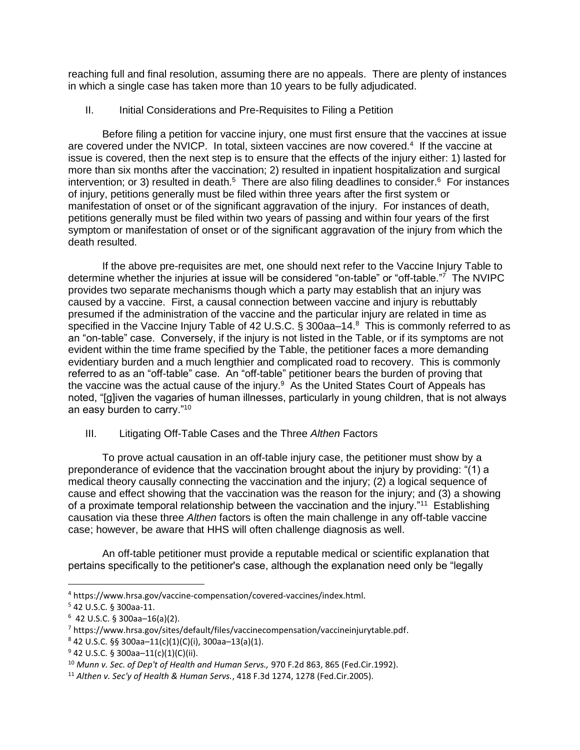reaching full and final resolution, assuming there are no appeals. There are plenty of instances in which a single case has taken more than 10 years to be fully adjudicated.

II. Initial Considerations and Pre-Requisites to Filing a Petition

Before filing a petition for vaccine injury, one must first ensure that the vaccines at issue are covered under the NVICP. In total, sixteen vaccines are now covered.<sup>4</sup> If the vaccine at issue is covered, then the next step is to ensure that the effects of the injury either: 1) lasted for more than six months after the vaccination; 2) resulted in inpatient hospitalization and surgical intervention; or 3) resulted in death.<sup>5</sup> There are also filing deadlines to consider.<sup>6</sup> For instances of injury, petitions generally must be filed within three years after the first system or manifestation of onset or of the significant aggravation of the injury. For instances of death, petitions generally must be filed within two years of passing and within four years of the first symptom or manifestation of onset or of the significant aggravation of the injury from which the death resulted.

If the above pre-requisites are met, one should next refer to the Vaccine Injury Table to determine whether the injuries at issue will be considered "on-table" or "off-table."7 The NVIPC provides two separate mechanisms though which a party may establish that an injury was caused by a vaccine. First, a causal connection between vaccine and injury is rebuttably presumed if the administration of the vaccine and the particular injury are related in time as specified in the Vaccine Injury Table of 42 U.S.C. § 300aa–14.<sup>8</sup> This is commonly referred to as an "on-table" case. Conversely, if the injury is not listed in the Table, or if its symptoms are not evident within the time frame specified by the Table, the petitioner faces a more demanding evidentiary burden and a much lengthier and complicated road to recovery. This is commonly referred to as an "off-table" case. An "off-table" petitioner bears the burden of proving that the vaccine was the actual cause of the injury. $9$  As the United States Court of Appeals has noted, "[g]iven the vagaries of human illnesses, particularly in young children, that is not always an easy burden to carry."<sup>10</sup>

## III. Litigating Off-Table Cases and the Three *Althen* Factors

To prove actual causation in an off-table injury case, the petitioner must show by a preponderance of evidence that the vaccination brought about the injury by providing: "(1) a medical theory causally connecting the vaccination and the injury; (2) a logical sequence of cause and effect showing that the vaccination was the reason for the injury; and (3) a showing of a proximate temporal relationship between the vaccination and the injury."<sup>11</sup> Establishing causation via these three *Althen* factors is often the main challenge in any off-table vaccine case; however, be aware that HHS will often challenge diagnosis as well.

An off-table petitioner must provide a reputable medical or scientific explanation that pertains specifically to the petitioner's case, although the explanation need only be "legally

<sup>4</sup> https://www.hrsa.gov/vaccine-compensation/covered-vaccines/index.html.

<sup>5</sup> 42 U.S.C. § 300aa-11.

 $6$  42 U.S.C. § 300aa-16(a)(2).

<sup>7</sup> https://www.hrsa.gov/sites/default/files/vaccinecompensation/vaccineinjurytable.pdf.

 $842$  U.S.C. §§ 300aa-11(c)(1)(C)(i), 300aa-13(a)(1).

 $9$  42 U.S.C. § 300aa-11(c)(1)(C)(ii).

<sup>10</sup> *Munn v. Sec. of Dep't of Health and Human Servs.,* 970 F.2d 863, 865 (Fed.Cir.1992).

<sup>11</sup> *Althen v. Sec'y of Health & Human Servs.*, 418 F.3d 1274, 1278 (Fed.Cir.2005).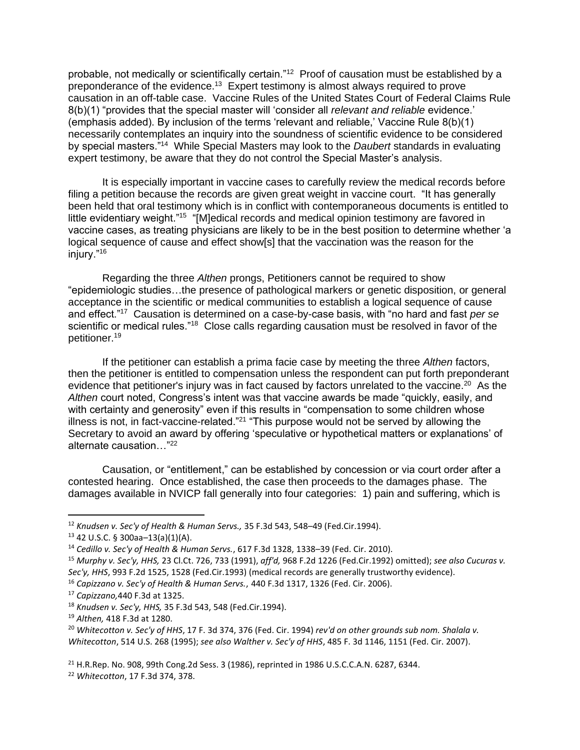probable, not medically or scientifically certain."<sup>12</sup> Proof of causation must be established by a preponderance of the evidence.<sup>13</sup> Expert testimony is almost always required to prove causation in an off-table case. Vaccine Rules of the United States Court of Federal Claims Rule 8(b)(1) "provides that the special master will 'consider all *relevant and reliable* evidence.' (emphasis added). By inclusion of the terms 'relevant and reliable,' Vaccine Rule 8(b)(1) necessarily contemplates an inquiry into the soundness of scientific evidence to be considered by special masters."<sup>14</sup> While Special Masters may look to the *Daubert* standards in evaluating expert testimony, be aware that they do not control the Special Master's analysis.

It is especially important in vaccine cases to carefully review the medical records before filing a petition because the records are given great weight in vaccine court. "It has generally been held that oral testimony which is in conflict with contemporaneous documents is entitled to little evidentiary weight."<sup>15</sup> "[M]edical records and medical opinion testimony are favored in vaccine cases, as treating physicians are likely to be in the best position to determine whether 'a logical sequence of cause and effect show[s] that the vaccination was the reason for the injury."<sup>16</sup>

Regarding the three *Althen* prongs, Petitioners cannot be required to show "epidemiologic studies…the presence of pathological markers or genetic disposition, or general acceptance in the scientific or medical communities to establish a logical sequence of cause and effect."<sup>17</sup> Causation is determined on a case-by-case basis, with "no hard and fast *per se*  scientific or medical rules."<sup>18</sup> Close calls regarding causation must be resolved in favor of the petitioner.<sup>19</sup>

If the petitioner can establish a prima facie case by meeting the three *Althen* factors, then the petitioner is entitled to compensation unless the respondent can put forth preponderant evidence that petitioner's injury was in fact caused by factors unrelated to the vaccine.<sup>20</sup> As the *Althen* court noted, Congress's intent was that vaccine awards be made "quickly, easily, and with certainty and generosity" even if this results in "compensation to some children whose illness is not, in fact-vaccine-related."<sup>21</sup> "This purpose would not be served by allowing the Secretary to avoid an award by offering 'speculative or hypothetical matters or explanations' of alternate causation…"<sup>22</sup>

Causation, or "entitlement," can be established by concession or via court order after a contested hearing. Once established, the case then proceeds to the damages phase. The damages available in NVICP fall generally into four categories: 1) pain and suffering, which is

<sup>12</sup> *Knudsen v. Sec'y of Health & Human Servs.,* 35 F.3d 543, 548–49 (Fed.Cir.1994).

 $13$  42 U.S.C. § 300aa-13(a)(1)(A).

<sup>14</sup> *Cedillo v. Sec'y of Health & Human Servs.*, 617 F.3d 1328, 1338–39 (Fed. Cir. 2010).

<sup>15</sup> *Murphy v. Sec'y, HHS,* 23 Cl.Ct. 726, 733 (1991), *aff'd,* 968 F.2d 1226 (Fed.Cir.1992) omitted); *see also Cucuras v. Sec'y, HHS*, 993 F.2d 1525, 1528 (Fed.Cir.1993) (medical records are generally trustworthy evidence).

<sup>16</sup> *Capizzano v. Sec'y of Health & Human Servs.*, 440 F.3d 1317, 1326 (Fed. Cir. 2006).

<sup>17</sup> *Capizzano,*440 F.3d at 1325.

<sup>18</sup> *Knudsen v. Sec'y, HHS,* 35 F.3d 543, 548 (Fed.Cir.1994).

<sup>19</sup> *Althen,* 418 F.3d at 1280.

<sup>20</sup> *Whitecotton v. Sec'y of HHS*, 17 F. 3d 374, 376 (Fed. Cir. 1994) *rev'd on other grounds sub nom. Shalala v. Whitecotton*, 514 U.S. 268 (1995); *see also Walther v. Sec'y of HHS*, 485 F. 3d 1146, 1151 (Fed. Cir. 2007).

 $21$  H.R.Rep. No. 908, 99th Cong. 2d Sess. 3 (1986), reprinted in 1986 U.S.C.C.A.N. 6287, 6344.

<sup>22</sup> *Whitecotton*, 17 F.3d 374, 378.